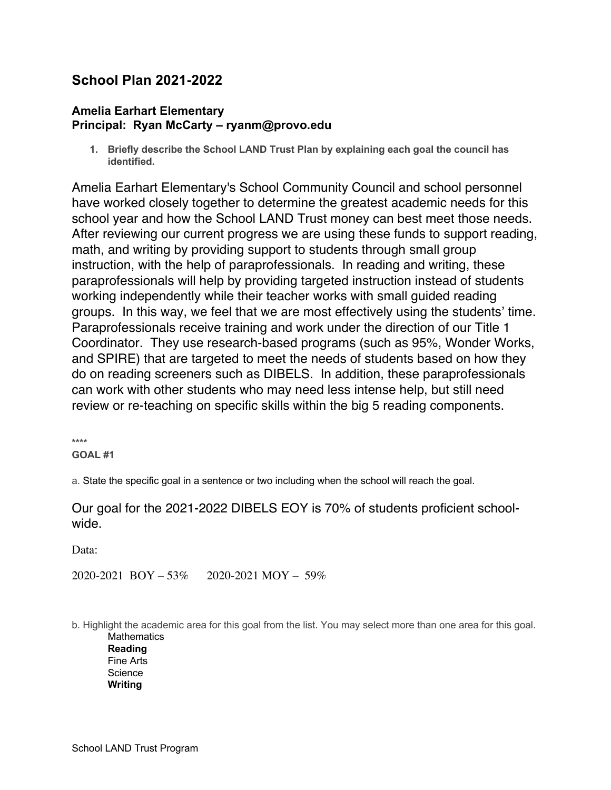# **School Plan 2021-2022**

### **Amelia Earhart Elementary Principal: Ryan McCarty – ryanm@provo.edu**

**1. Briefly describe the School LAND Trust Plan by explaining each goal the council has identified.**

Amelia Earhart Elementary's School Community Council and school personnel have worked closely together to determine the greatest academic needs for this school year and how the School LAND Trust money can best meet those needs. After reviewing our current progress we are using these funds to support reading, math, and writing by providing support to students through small group instruction, with the help of paraprofessionals. In reading and writing, these paraprofessionals will help by providing targeted instruction instead of students working independently while their teacher works with small guided reading groups. In this way, we feel that we are most effectively using the students' time. Paraprofessionals receive training and work under the direction of our Title 1 Coordinator. They use research-based programs (such as 95%, Wonder Works, and SPIRE) that are targeted to meet the needs of students based on how they do on reading screeners such as DIBELS. In addition, these paraprofessionals can work with other students who may need less intense help, but still need review or re-teaching on specific skills within the big 5 reading components.

**\*\*\*\* GOAL #1**

a. State the specific goal in a sentence or two including when the school will reach the goal.

## Our goal for the 2021-2022 DIBELS EOY is 70% of students proficient schoolwide.

Data:

2020-2021 BOY – 53% 2020-2021 MOY – 59%

b. Highlight the academic area for this goal from the list. You may select more than one area for this goal. **Mathematics** 

**Reading** Fine Arts **Science Writing**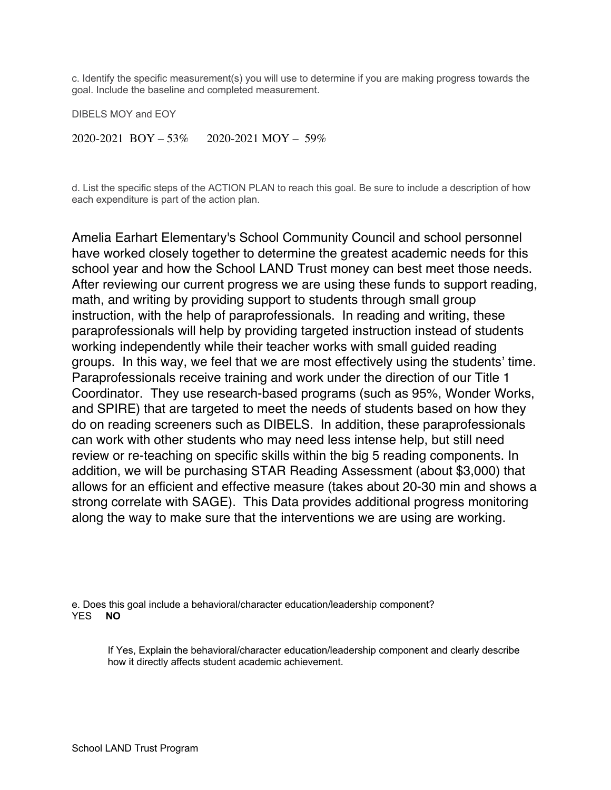c. Identify the specific measurement(s) you will use to determine if you are making progress towards the goal. Include the baseline and completed measurement.

DIBELS MOY and EOY

2020-2021 BOY – 53% 2020-2021 MOY – 59%

d. List the specific steps of the ACTION PLAN to reach this goal. Be sure to include a description of how each expenditure is part of the action plan.

Amelia Earhart Elementary's School Community Council and school personnel have worked closely together to determine the greatest academic needs for this school year and how the School LAND Trust money can best meet those needs. After reviewing our current progress we are using these funds to support reading, math, and writing by providing support to students through small group instruction, with the help of paraprofessionals. In reading and writing, these paraprofessionals will help by providing targeted instruction instead of students working independently while their teacher works with small guided reading groups. In this way, we feel that we are most effectively using the students' time. Paraprofessionals receive training and work under the direction of our Title 1 Coordinator. They use research-based programs (such as 95%, Wonder Works, and SPIRE) that are targeted to meet the needs of students based on how they do on reading screeners such as DIBELS. In addition, these paraprofessionals can work with other students who may need less intense help, but still need review or re-teaching on specific skills within the big 5 reading components. In addition, we will be purchasing STAR Reading Assessment (about \$3,000) that allows for an efficient and effective measure (takes about 20-30 min and shows a strong correlate with SAGE). This Data provides additional progress monitoring along the way to make sure that the interventions we are using are working.

e. Does this goal include a behavioral/character education/leadership component? YES **NO**

If Yes, Explain the behavioral/character education/leadership component and clearly describe how it directly affects student academic achievement.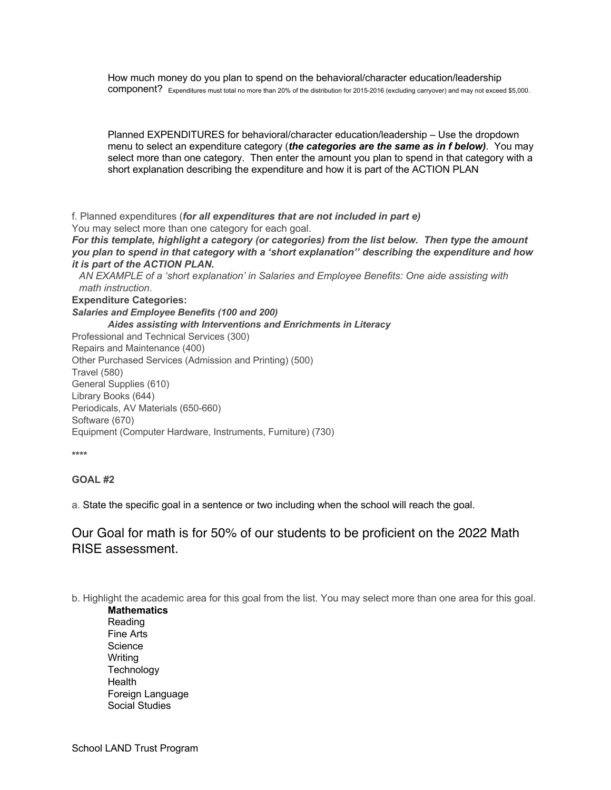How much money do you plan to spend on the behavioral/character education/leadership component? Expenditures must total no more than 20% of the distribution for 2015-2016 (excluding carryover) and may not exceed \$5,000.

Planned EXPENDITURES for behavioral/character education/leadership – Use the dropdown menu to select an expenditure category (*the categories are the same as in f below)*. You may select more than one category. Then enter the amount you plan to spend in that category with a short explanation describing the expenditure and how it is part of the ACTION PLAN

f. Planned expenditures (*for all expenditures that are not included in part e)* You may select more than one category for each goal.

*For this template, highlight a category (or categories) from the list below. Then type the amount you plan to spend in that category with a 'short explanation'' describing the expenditure and how it is part of the ACTION PLAN.* 

*AN EXAMPLE of a 'short explanation' in Salaries and Employee Benefits: One aide assisting with math instruction*.

**Expenditure Categories:**

*Salaries and Employee Benefits (100 and 200) Aides assisting with Interventions and Enrichments in Literacy*

Professional and Technical Services (300) Repairs and Maintenance (400) Other Purchased Services (Admission and Printing) (500) Travel (580) General Supplies (610) Library Books (644) Periodicals, AV Materials (650-660) Software (670) Equipment (Computer Hardware, Instruments, Furniture) (730)

**\*\*\*\***

#### **GOAL #2**

a. State the specific goal in a sentence or two including when the school will reach the goal.

### Our Goal for math is for 50% of our students to be proficient on the 2022 Math RISE assessment.

b. Highlight the academic area for this goal from the list. You may select more than one area for this goal.

**Mathematics** Reading Fine Arts **Science** Writing **Technology Health** Foreign Language Social Studies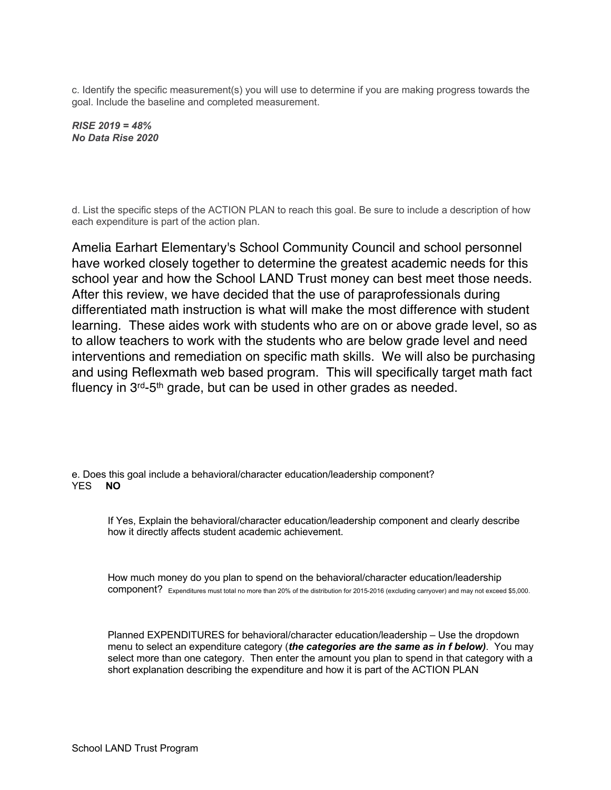c. Identify the specific measurement(s) you will use to determine if you are making progress towards the goal. Include the baseline and completed measurement.

*RISE 2019 = 48% No Data Rise 2020*

d. List the specific steps of the ACTION PLAN to reach this goal. Be sure to include a description of how each expenditure is part of the action plan.

Amelia Earhart Elementary's School Community Council and school personnel have worked closely together to determine the greatest academic needs for this school year and how the School LAND Trust money can best meet those needs. After this review, we have decided that the use of paraprofessionals during differentiated math instruction is what will make the most difference with student learning. These aides work with students who are on or above grade level, so as to allow teachers to work with the students who are below grade level and need interventions and remediation on specific math skills. We will also be purchasing and using Reflexmath web based program. This will specifically target math fact fluency in 3rd-5th grade, but can be used in other grades as needed.

e. Does this goal include a behavioral/character education/leadership component?<br>YES  $\blacksquare$ YES **NO**

If Yes, Explain the behavioral/character education/leadership component and clearly describe how it directly affects student academic achievement.

How much money do you plan to spend on the behavioral/character education/leadership component? Expenditures must total no more than 20% of the distribution for 2015-2016 (excluding carryover) and may not exceed \$5,000.

Planned EXPENDITURES for behavioral/character education/leadership – Use the dropdown menu to select an expenditure category (*the categories are the same as in f below)*. You may select more than one category. Then enter the amount you plan to spend in that category with a short explanation describing the expenditure and how it is part of the ACTION PLAN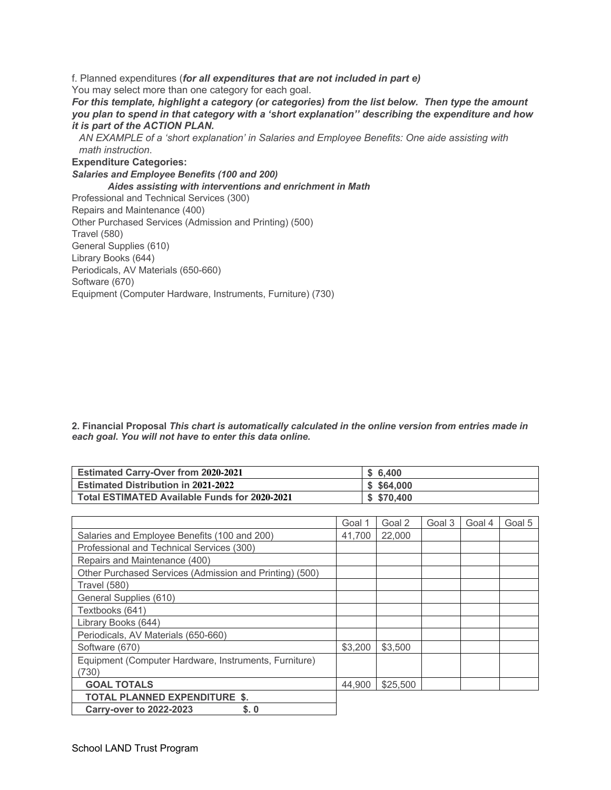f. Planned expenditures (*for all expenditures that are not included in part e)* You may select more than one category for each goal. *For this template, highlight a category (or categories) from the list below. Then type the amount you plan to spend in that category with a 'short explanation'' describing the expenditure and how it is part of the ACTION PLAN. AN EXAMPLE of a 'short explanation' in Salaries and Employee Benefits: One aide assisting with math instruction*. **Expenditure Categories:** *Salaries and Employee Benefits (100 and 200) Aides assisting with interventions and enrichment in Math* Professional and Technical Services (300) Repairs and Maintenance (400) Other Purchased Services (Admission and Printing) (500) Travel (580) General Supplies (610) Library Books (644) Periodicals, AV Materials (650-660) Software (670)

Equipment (Computer Hardware, Instruments, Furniture) (730)

**2. Financial Proposal** *This chart is automatically calculated in the online version from entries made in each goal***.** *You will not have to enter this data online.*

| <b>Estimated Carry-Over from 2020-2021</b>    | \$6.400     |
|-----------------------------------------------|-------------|
| <b>Estimated Distribution in 2021-2022</b>    | \$5,64,000  |
| Total ESTIMATED Available Funds for 2020-2021 | \$ \$70,400 |

|                                                         | Goal 1  | Goal 2   | Goal 3 | Goal 4 | Goal 5 |
|---------------------------------------------------------|---------|----------|--------|--------|--------|
| Salaries and Employee Benefits (100 and 200)            | 41.700  | 22,000   |        |        |        |
| Professional and Technical Services (300)               |         |          |        |        |        |
| Repairs and Maintenance (400)                           |         |          |        |        |        |
| Other Purchased Services (Admission and Printing) (500) |         |          |        |        |        |
| <b>Travel (580)</b>                                     |         |          |        |        |        |
| General Supplies (610)                                  |         |          |        |        |        |
| Textbooks (641)                                         |         |          |        |        |        |
| Library Books (644)                                     |         |          |        |        |        |
| Periodicals, AV Materials (650-660)                     |         |          |        |        |        |
| Software (670)                                          | \$3,200 | \$3,500  |        |        |        |
| Equipment (Computer Hardware, Instruments, Furniture)   |         |          |        |        |        |
| (730)                                                   |         |          |        |        |        |
| <b>GOAL TOTALS</b>                                      | 44.900  | \$25,500 |        |        |        |
| <b>TOTAL PLANNED EXPENDITURE \$.</b>                    |         |          |        |        |        |
| <b>Carry-over to 2022-2023</b><br>S.0                   |         |          |        |        |        |